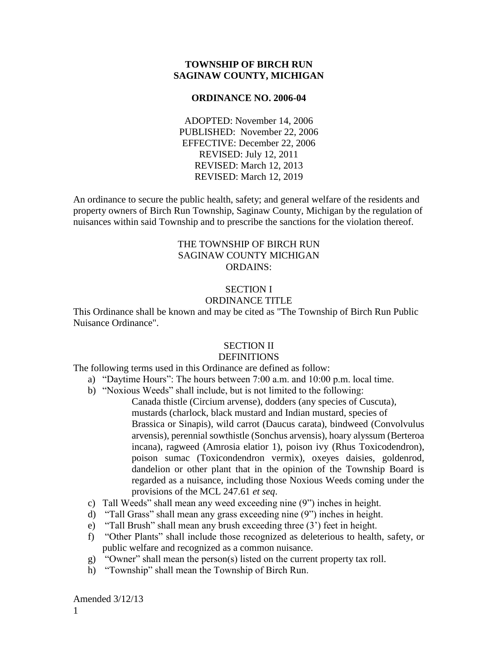### **TOWNSHIP OF BIRCH RUN SAGINAW COUNTY, MICHIGAN**

#### **ORDINANCE NO. 2006-04**

ADOPTED: November 14, 2006 PUBLISHED: November 22, 2006 EFFECTIVE: December 22, 2006 REVISED: July 12, 2011 REVISED: March 12, 2013 REVISED: March 12, 2019

An ordinance to secure the public health, safety; and general welfare of the residents and property owners of Birch Run Township, Saginaw County, Michigan by the regulation of nuisances within said Township and to prescribe the sanctions for the violation thereof.

## THE TOWNSHIP OF BIRCH RUN SAGINAW COUNTY MICHIGAN ORDAINS:

### SECTION I ORDINANCE TITLE

This Ordinance shall be known and may be cited as "The Township of Birch Run Public Nuisance Ordinance".

### SECTION II

#### **DEFINITIONS**

The following terms used in this Ordinance are defined as follow:

- a) "Daytime Hours": The hours between 7:00 a.m. and 10:00 p.m. local time.
- b) "Noxious Weeds" shall include, but is not limited to the following:
	- Canada thistle (Circium arvense), dodders (any species of Cuscuta), mustards (charlock, black mustard and Indian mustard, species of Brassica or Sinapis), wild carrot (Daucus carata), bindweed (Convolvulus arvensis), perennial sowthistle (Sonchus arvensis), hoary alyssum (Berteroa incana), ragweed (Amrosia elatior 1), poison ivy (Rhus Toxicodendron), poison sumac (Toxicondendron vermix), oxeyes daisies, goldenrod, dandelion or other plant that in the opinion of the Township Board is regarded as a nuisance, including those Noxious Weeds coming under the provisions of the MCL 247.61 *et seq*.
- c) Tall Weeds" shall mean any weed exceeding nine (9") inches in height.
- d) "Tall Grass" shall mean any grass exceeding nine (9") inches in height.
- e) "Tall Brush" shall mean any brush exceeding three (3') feet in height.
- f) "Other Plants" shall include those recognized as deleterious to health, safety, or public welfare and recognized as a common nuisance.
- g) "Owner" shall mean the person(s) listed on the current property tax roll.
- h) "Township" shall mean the Township of Birch Run.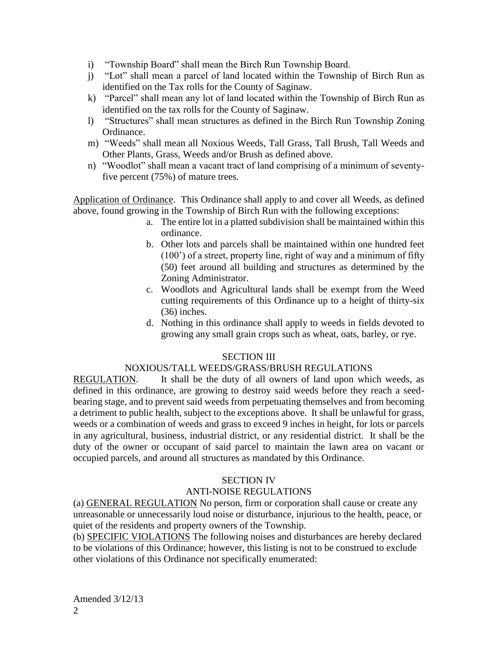- i) "Township Board" shall mean the Birch Run Township Board.
- j) "Lot" shall mean a parcel of land located within the Township of Birch Run as identified on the Tax rolls for the County of Saginaw.
- k) "Parcel" shall mean any lot of land located within the Township of Birch Run as identified on the tax rolls for the County of Saginaw.
- l) "Structures" shall mean structures as defined in the Birch Run Township Zoning Ordinance.
- m) "Weeds" shall mean all Noxious Weeds, Tall Grass, Tall Brush, Tall Weeds and Other Plants, Grass, Weeds and/or Brush as defined above.
- n) "Woodlot" shall mean a vacant tract of land comprising of a minimum of seventyfive percent (75%) of mature trees.

Application of Ordinance. This Ordinance shall apply to and cover all Weeds, as defined above, found growing in the Township of Birch Run with the following exceptions:

- a. The entire lot in a platted subdivision shall be maintained within this ordinance.
- b. Other lots and parcels shall be maintained within one hundred feet (100') of a street, property line, right of way and a minimum of fifty (50) feet around all building and structures as determined by the Zoning Administrator.
- c. Woodlots and Agricultural lands shall be exempt from the Weed cutting requirements of this Ordinance up to a height of thirty-six (36) inches.
- d. Nothing in this ordinance shall apply to weeds in fields devoted to growing any small grain crops such as wheat, oats, barley, or rye.

# SECTION III

## NOXIOUS/TALL WEEDS/GRASS/BRUSH REGULATIONS

REGULATION. It shall be the duty of all owners of land upon which weeds, as defined in this ordinance, are growing to destroy said weeds before they reach a seedbearing stage, and to prevent said weeds from perpetuating themselves and from becoming a detriment to public health, subject to the exceptions above. It shall be unlawful for grass, weeds or a combination of weeds and grass to exceed 9 inches in height, for lots or parcels in any agricultural, business, industrial district, or any residential district. It shall be the duty of the owner or occupant of said parcel to maintain the lawn area on vacant or occupied parcels, and around all structures as mandated by this Ordinance.

## SECTION IV

# ANTI-NOISE REGULATIONS

(a) GENERAL REGULATION No person, firm or corporation shall cause or create any unreasonable or unnecessarily loud noise or disturbance, injurious to the health, peace, or quiet of the residents and property owners of the Township.

(b) SPECIFIC VIOLATIONS The following noises and disturbances are hereby declared to be violations of this Ordinance; however, this listing is not to be construed to exclude other violations of this Ordinance not specifically enumerated: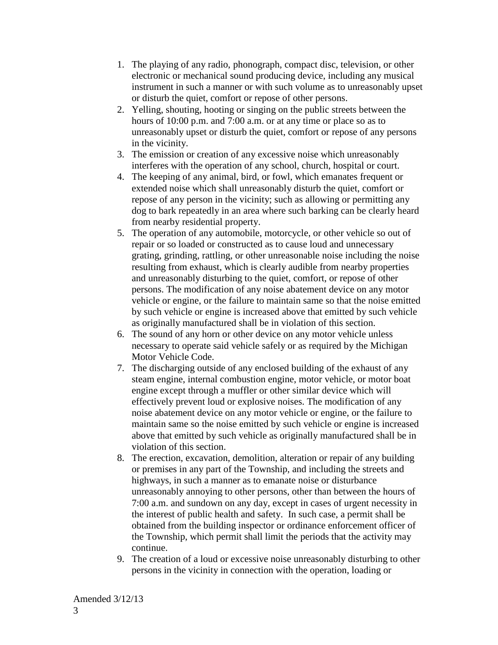- 1. The playing of any radio, phonograph, compact disc, television, or other electronic or mechanical sound producing device, including any musical instrument in such a manner or with such volume as to unreasonably upset or disturb the quiet, comfort or repose of other persons.
- 2. Yelling, shouting, hooting or singing on the public streets between the hours of 10:00 p.m. and 7:00 a.m. or at any time or place so as to unreasonably upset or disturb the quiet, comfort or repose of any persons in the vicinity.
- 3. The emission or creation of any excessive noise which unreasonably interferes with the operation of any school, church, hospital or court.
- 4. The keeping of any animal, bird, or fowl, which emanates frequent or extended noise which shall unreasonably disturb the quiet, comfort or repose of any person in the vicinity; such as allowing or permitting any dog to bark repeatedly in an area where such barking can be clearly heard from nearby residential property.
- 5. The operation of any automobile, motorcycle, or other vehicle so out of repair or so loaded or constructed as to cause loud and unnecessary grating, grinding, rattling, or other unreasonable noise including the noise resulting from exhaust, which is clearly audible from nearby properties and unreasonably disturbing to the quiet, comfort, or repose of other persons. The modification of any noise abatement device on any motor vehicle or engine, or the failure to maintain same so that the noise emitted by such vehicle or engine is increased above that emitted by such vehicle as originally manufactured shall be in violation of this section.
- 6. The sound of any horn or other device on any motor vehicle unless necessary to operate said vehicle safely or as required by the Michigan Motor Vehicle Code.
- 7. The discharging outside of any enclosed building of the exhaust of any steam engine, internal combustion engine, motor vehicle, or motor boat engine except through a muffler or other similar device which will effectively prevent loud or explosive noises. The modification of any noise abatement device on any motor vehicle or engine, or the failure to maintain same so the noise emitted by such vehicle or engine is increased above that emitted by such vehicle as originally manufactured shall be in violation of this section.
- 8. The erection, excavation, demolition, alteration or repair of any building or premises in any part of the Township, and including the streets and highways, in such a manner as to emanate noise or disturbance unreasonably annoying to other persons, other than between the hours of 7:00 a.m. and sundown on any day, except in cases of urgent necessity in the interest of public health and safety. In such case, a permit shall be obtained from the building inspector or ordinance enforcement officer of the Township, which permit shall limit the periods that the activity may continue.
- 9. The creation of a loud or excessive noise unreasonably disturbing to other persons in the vicinity in connection with the operation, loading or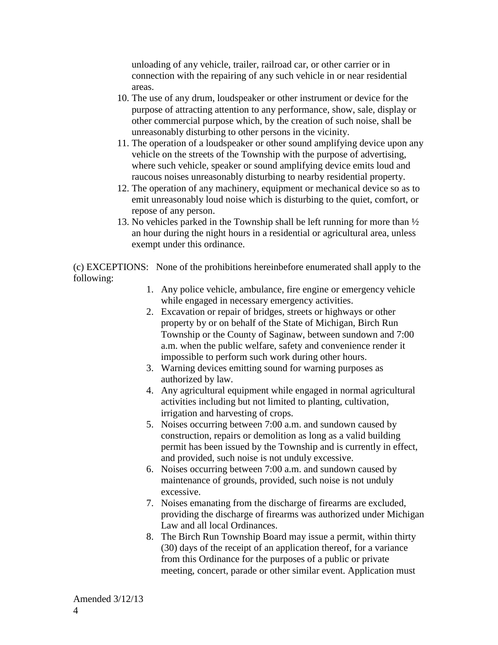unloading of any vehicle, trailer, railroad car, or other carrier or in connection with the repairing of any such vehicle in or near residential areas.

- 10. The use of any drum, loudspeaker or other instrument or device for the purpose of attracting attention to any performance, show, sale, display or other commercial purpose which, by the creation of such noise, shall be unreasonably disturbing to other persons in the vicinity.
- 11. The operation of a loudspeaker or other sound amplifying device upon any vehicle on the streets of the Township with the purpose of advertising, where such vehicle, speaker or sound amplifying device emits loud and raucous noises unreasonably disturbing to nearby residential property.
- 12. The operation of any machinery, equipment or mechanical device so as to emit unreasonably loud noise which is disturbing to the quiet, comfort, or repose of any person.
- 13. No vehicles parked in the Township shall be left running for more than  $\frac{1}{2}$ an hour during the night hours in a residential or agricultural area, unless exempt under this ordinance.

(c) EXCEPTIONS: None of the prohibitions hereinbefore enumerated shall apply to the following:

- 1. Any police vehicle, ambulance, fire engine or emergency vehicle while engaged in necessary emergency activities.
- 2. Excavation or repair of bridges, streets or highways or other property by or on behalf of the State of Michigan, Birch Run Township or the County of Saginaw, between sundown and 7:00 a.m. when the public welfare, safety and convenience render it impossible to perform such work during other hours.
- 3. Warning devices emitting sound for warning purposes as authorized by law.
- 4. Any agricultural equipment while engaged in normal agricultural activities including but not limited to planting, cultivation, irrigation and harvesting of crops.
- 5. Noises occurring between 7:00 a.m. and sundown caused by construction, repairs or demolition as long as a valid building permit has been issued by the Township and is currently in effect, and provided, such noise is not unduly excessive.
- 6. Noises occurring between 7:00 a.m. and sundown caused by maintenance of grounds, provided, such noise is not unduly excessive.
- 7. Noises emanating from the discharge of firearms are excluded, providing the discharge of firearms was authorized under Michigan Law and all local Ordinances.
- 8. The Birch Run Township Board may issue a permit, within thirty (30) days of the receipt of an application thereof, for a variance from this Ordinance for the purposes of a public or private meeting, concert, parade or other similar event. Application must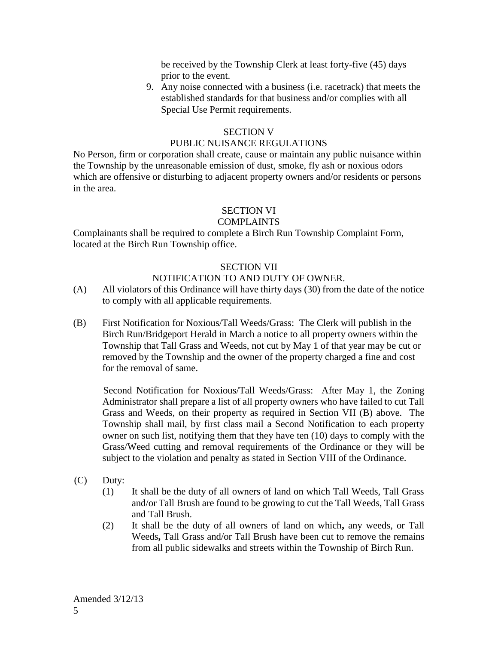be received by the Township Clerk at least forty-five (45) days prior to the event.

9. Any noise connected with a business (i.e. racetrack) that meets the established standards for that business and/or complies with all Special Use Permit requirements.

# SECTION V

# PUBLIC NUISANCE REGULATIONS

No Person, firm or corporation shall create, cause or maintain any public nuisance within the Township by the unreasonable emission of dust, smoke, fly ash or noxious odors which are offensive or disturbing to adjacent property owners and/or residents or persons in the area.

# SECTION VI

# COMPLAINTS

Complainants shall be required to complete a Birch Run Township Complaint Form, located at the Birch Run Township office.

# SECTION VII

# NOTIFICATION TO AND DUTY OF OWNER.

- (A) All violators of this Ordinance will have thirty days (30) from the date of the notice to comply with all applicable requirements.
- (B) First Notification for Noxious/Tall Weeds/Grass: The Clerk will publish in the Birch Run/Bridgeport Herald in March a notice to all property owners within the Township that Tall Grass and Weeds, not cut by May 1 of that year may be cut or removed by the Township and the owner of the property charged a fine and cost for the removal of same.

Second Notification for Noxious/Tall Weeds/Grass: After May 1, the Zoning Administrator shall prepare a list of all property owners who have failed to cut Tall Grass and Weeds, on their property as required in Section VII (B) above. The Township shall mail, by first class mail a Second Notification to each property owner on such list, notifying them that they have ten (10) days to comply with the Grass/Weed cutting and removal requirements of the Ordinance or they will be subject to the violation and penalty as stated in Section VIII of the Ordinance.

- (C) Duty:
	- (1) It shall be the duty of all owners of land on which Tall Weeds, Tall Grass and/or Tall Brush are found to be growing to cut the Tall Weeds, Tall Grass and Tall Brush.
	- (2) It shall be the duty of all owners of land on which**,** any weeds, or Tall Weeds**,** Tall Grass and/or Tall Brush have been cut to remove the remains from all public sidewalks and streets within the Township of Birch Run.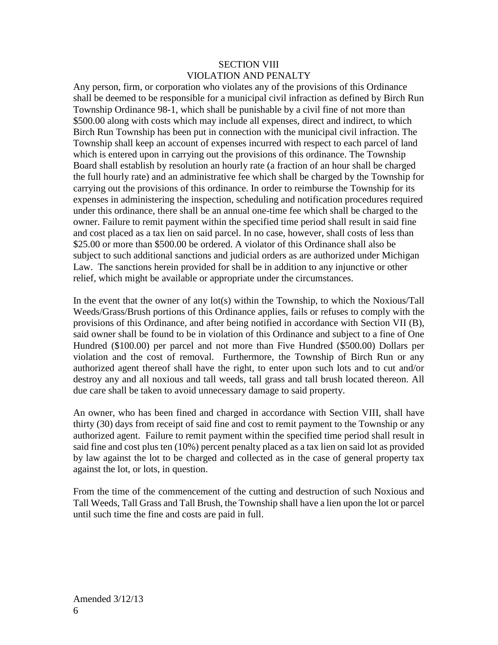## SECTION VIII VIOLATION AND PENALTY

Any person, firm, or corporation who violates any of the provisions of this Ordinance shall be deemed to be responsible for a municipal civil infraction as defined by Birch Run Township Ordinance 98-1, which shall be punishable by a civil fine of not more than \$500.00 along with costs which may include all expenses, direct and indirect, to which Birch Run Township has been put in connection with the municipal civil infraction. The Township shall keep an account of expenses incurred with respect to each parcel of land which is entered upon in carrying out the provisions of this ordinance. The Township Board shall establish by resolution an hourly rate (a fraction of an hour shall be charged the full hourly rate) and an administrative fee which shall be charged by the Township for carrying out the provisions of this ordinance. In order to reimburse the Township for its expenses in administering the inspection, scheduling and notification procedures required under this ordinance, there shall be an annual one-time fee which shall be charged to the owner. Failure to remit payment within the specified time period shall result in said fine and cost placed as a tax lien on said parcel. In no case, however, shall costs of less than \$25.00 or more than \$500.00 be ordered. A violator of this Ordinance shall also be subject to such additional sanctions and judicial orders as are authorized under Michigan Law. The sanctions herein provided for shall be in addition to any injunctive or other relief, which might be available or appropriate under the circumstances.

In the event that the owner of any lot(s) within the Township, to which the Noxious/Tall Weeds/Grass/Brush portions of this Ordinance applies, fails or refuses to comply with the provisions of this Ordinance, and after being notified in accordance with Section VII (B), said owner shall be found to be in violation of this Ordinance and subject to a fine of One Hundred (\$100.00) per parcel and not more than Five Hundred (\$500.00) Dollars per violation and the cost of removal. Furthermore, the Township of Birch Run or any authorized agent thereof shall have the right, to enter upon such lots and to cut and/or destroy any and all noxious and tall weeds, tall grass and tall brush located thereon. All due care shall be taken to avoid unnecessary damage to said property.

An owner, who has been fined and charged in accordance with Section VIII, shall have thirty (30) days from receipt of said fine and cost to remit payment to the Township or any authorized agent. Failure to remit payment within the specified time period shall result in said fine and cost plus ten (10%) percent penalty placed as a tax lien on said lot as provided by law against the lot to be charged and collected as in the case of general property tax against the lot, or lots, in question.

From the time of the commencement of the cutting and destruction of such Noxious and Tall Weeds, Tall Grass and Tall Brush, the Township shall have a lien upon the lot or parcel until such time the fine and costs are paid in full.